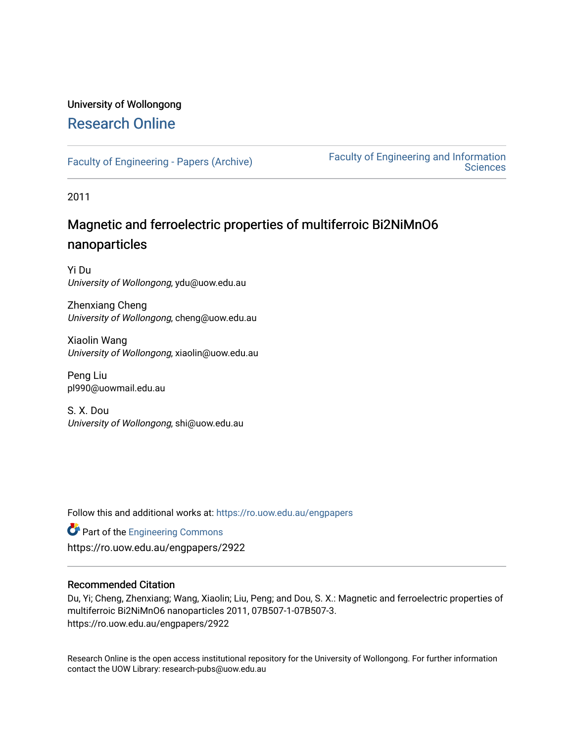# University of Wollongong [Research Online](https://ro.uow.edu.au/)

[Faculty of Engineering - Papers \(Archive\)](https://ro.uow.edu.au/engpapers) [Faculty of Engineering and Information](https://ro.uow.edu.au/eis)  **Sciences** 

2011

# Magnetic and ferroelectric properties of multiferroic Bi2NiMnO6 nanoparticles

Yi Du University of Wollongong, ydu@uow.edu.au

Zhenxiang Cheng University of Wollongong, cheng@uow.edu.au

Xiaolin Wang University of Wollongong, xiaolin@uow.edu.au

Peng Liu pl990@uowmail.edu.au

S. X. Dou University of Wollongong, shi@uow.edu.au

Follow this and additional works at: [https://ro.uow.edu.au/engpapers](https://ro.uow.edu.au/engpapers?utm_source=ro.uow.edu.au%2Fengpapers%2F2922&utm_medium=PDF&utm_campaign=PDFCoverPages) 

**Part of the [Engineering Commons](http://network.bepress.com/hgg/discipline/217?utm_source=ro.uow.edu.au%2Fengpapers%2F2922&utm_medium=PDF&utm_campaign=PDFCoverPages)** https://ro.uow.edu.au/engpapers/2922

### Recommended Citation

Du, Yi; Cheng, Zhenxiang; Wang, Xiaolin; Liu, Peng; and Dou, S. X.: Magnetic and ferroelectric properties of multiferroic Bi2NiMnO6 nanoparticles 2011, 07B507-1-07B507-3. https://ro.uow.edu.au/engpapers/2922

Research Online is the open access institutional repository for the University of Wollongong. For further information contact the UOW Library: research-pubs@uow.edu.au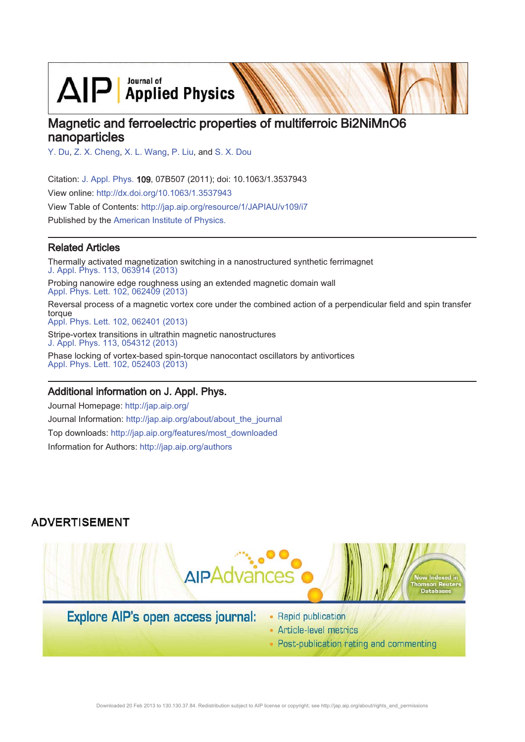$\text{AlP}$  Applied Physics

# Magnetic and ferroelectric properties of multiferroic Bi2NiMnO6 nanoparticles

Y. Du, Z. X. Cheng, X. L. Wang, P. Liu, and S. X. Dou

Citation: J. Appl. Phys. 109, 07B507 (2011); doi: 10.1063/1.3537943 View online: http://dx.doi.org/10.1063/1.3537943 View Table of Contents: http://jap.aip.org/resource/1/JAPIAU/v109/i7

Published by the American Institute of Physics.

## **Related Articles**

Thermally activated magnetization switching in a nanostructured synthetic ferrimagnet J. Appl. Phys. 113, 063914 (2013) Probing nanowire edge roughness using an extended magnetic domain wall Appl. Phys. Lett. 102, 062409 (2013) Reversal process of a magnetic vortex core under the combined action of a perpendicular field and spin transfer torque Appl. Phys. Lett. 102, 062401 (2013) Stripe-vortex transitions in ultrathin magnetic nanostructures J. Appl. Phys. 113, 054312 (2013) Phase locking of vortex-based spin-torque nanocontact oscillators by antivortices Appl. Phys. Lett. 102, 052403 (2013)

### Additional information on J. Appl. Phys.

Journal Homepage: http://jap.aip.org/ Journal Information: http://jap.aip.org/about/about the journal Top downloads: http://jap.aip.org/features/most\_downloaded Information for Authors: http://jap.aip.org/authors

### **ADVERTISEMENT**



• Post-publication rating and commenting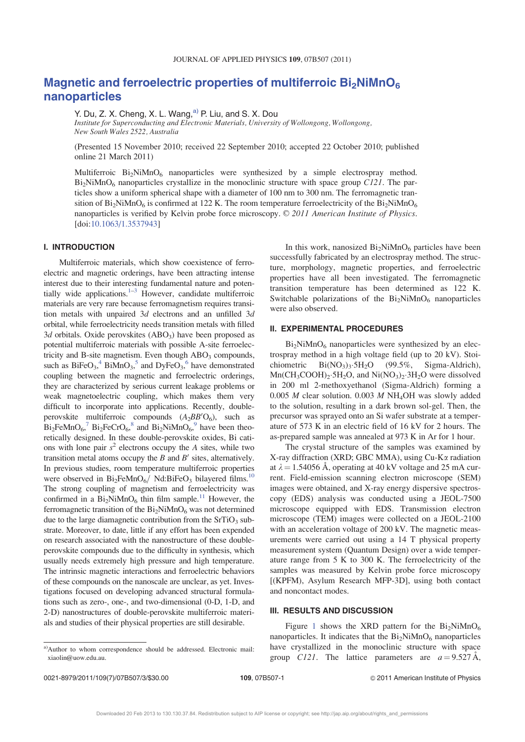# Magnetic and ferroelectric properties of multiferroic  $Bi<sub>2</sub>NiMnO<sub>6</sub>$ nanoparticles

Y. Du, Z. X. Cheng, X. L. Wang, $a^0$  P. Liu, and S. X. Dou Institute for Superconducting and Electronic Materials, University of Wollongong, Wollongong,

New South Wales 2522, Australia

(Presented 15 November 2010; received 22 September 2010; accepted 22 October 2010; published online 21 March 2011)

Multiferroic  $Bi_2NiMnO_6$  nanoparticles were synthesized by a simple electrospray method.  $Bi<sub>2</sub>NiMnO<sub>6</sub>$  nanoparticles crystallize in the monoclinic structure with space group C121. The particles show a uniform spherical shape with a diameter of 100 nm to 300 nm. The ferromagnetic transition of  $Bi_2NiMnO_6$  is confirmed at 122 K. The room temperature ferroelectricity of the  $Bi_2NiMnO_6$ nanoparticles is verified by Kelvin probe force microscopy.  $\odot$  2011 American Institute of Physics. [doi:10.1063/1.3537943]

### I. INTRODUCTION

Multiferroic materials, which show coexistence of ferroelectric and magnetic orderings, have been attracting intense interest due to their interesting fundamental nature and potentially wide applications. $1-3$  However, candidate multiferroic materials are very rare because ferromagnetism requires transition metals with unpaired 3d electrons and an unfilled 3d orbital, while ferroelectricity needs transition metals with filled  $3d$  orbitals. Oxide perovskites  $(ABO<sub>3</sub>)$  have been proposed as potential multiferroic materials with possible A-site ferroelectricity and B-site magnetism. Even though  $ABO<sub>3</sub>$  compounds, such as  $BiFeO<sub>3</sub>$ ,  $^{4} BiMnO<sub>3</sub>$ ,  $^{5}$  and DyFeO<sub>3</sub>,  $^{6}$  have demonstrated coupling between the magnetic and ferroelectric orderings, they are characterized by serious current leakage problems or weak magnetoelectric coupling, which makes them very difficult to incorporate into applications. Recently, doubleperovskite multiferroic compounds  $(A_2BB'O_6)$ , such as  $Bi_2FeMnO_6$ ,  $7 Bi_2FeCrO_6$ , and  $Bi_2NiMnO_6$ , have been theoretically designed. In these double-perovskite oxides, Bi cations with lone pair  $s^2$  electrons occupy the A sites, while two transition metal atoms occupy the  $B$  and  $B'$  sites, alternatively. In previous studies, room temperature multiferroic properties were observed in Bi<sub>2</sub>FeMnO<sub>6</sub>/ Nd:BiFeO<sub>3</sub> bilayered films.<sup>10</sup> The strong coupling of magnetism and ferroelectricity was confirmed in a  $Bi_2NiMnO_6$  thin film sample.<sup>11</sup> However, the ferromagnetic transition of the  $Bi<sub>2</sub>NiMnO<sub>6</sub>$  was not determined due to the large diamagnetic contribution from the  $SrTiO<sub>3</sub>$  substrate. Moreover, to date, little if any effort has been expended on research associated with the nanostructure of these doubleperovskite compounds due to the difficulty in synthesis, which usually needs extremely high pressure and high temperature. The intrinsic magnetic interactions and ferroelectric behaviors of these compounds on the nanoscale are unclear, as yet. Investigations focused on developing advanced structural formulations such as zero-, one-, and two-dimensional (0-D, 1-D, and 2-D) nanostructures of double-perovskite multiferroic materials and studies of their physical properties are still desirable.

a)Author to whom correspondence should be addressed. Electronic mail: xiaolin@uow.edu.au.

In this work, nanosized  $Bi_2NiMnO_6$  particles have been successfully fabricated by an electrospray method. The structure, morphology, magnetic properties, and ferroelectric properties have all been investigated. The ferromagnetic transition temperature has been determined as 122 K. Switchable polarizations of the  $Bi<sub>2</sub>NiMnO<sub>6</sub>$  nanoparticles were also observed.

### II. EXPERIMENTAL PROCEDURES

 $Bi<sub>2</sub>NiMnO<sub>6</sub>$  nanoparticles were synthesized by an electrospray method in a high voltage field (up to 20 kV). Stoichiometric  $Bi(NO<sub>3</sub>)<sub>3</sub>·5H<sub>2</sub>O$  $(99.5\%,$  Sigma-Aldrich),  $Mn(CH_3COOH)_2 \cdot 5H_2O$ , and  $Ni(NO_3)_2 \cdot 3H_2O$  were dissolved in 200 ml 2-methoxyethanol (Sigma-Aldrich) forming a 0.005  $M$  clear solution. 0.003  $M$  NH<sub>4</sub>OH was slowly added to the solution, resulting in a dark brown sol-gel. Then, the precursor was sprayed onto an Si wafer substrate at a temperature of 573 K in an electric field of 16 kV for 2 hours. The as-prepared sample was annealed at 973 K in Ar for 1 hour.

The crystal structure of the samples was examined by X-ray diffraction (XRD; GBC MMA), using Cu-Ka radiation at  $\lambda = 1.54056$  Å, operating at 40 kV voltage and 25 mA current. Field-emission scanning electron microscope (SEM) images were obtained, and X-ray energy dispersive spectroscopy (EDS) analysis was conducted using a JEOL-7500 microscope equipped with EDS. Transmission electron microscope (TEM) images were collected on a JEOL-2100 with an acceleration voltage of 200 kV. The magnetic measurements were carried out using a 14 T physical property measurement system (Quantum Design) over a wide temperature range from 5 K to 300 K. The ferroelectricity of the samples was measured by Kelvin probe force microscopy [(KPFM), Asylum Research MFP-3D], using both contact and noncontact modes.

#### III. RESULTS AND DISCUSSION

Figure 1 shows the XRD pattern for the  $Bi<sub>2</sub>NiMnO<sub>6</sub>$ nanoparticles. It indicates that the  $Bi<sub>2</sub>NiMnO<sub>6</sub>$  nanoparticles have crystallized in the monoclinic structure with space group C121. The lattice parameters are  $a = 9.527 \text{ Å}$ ,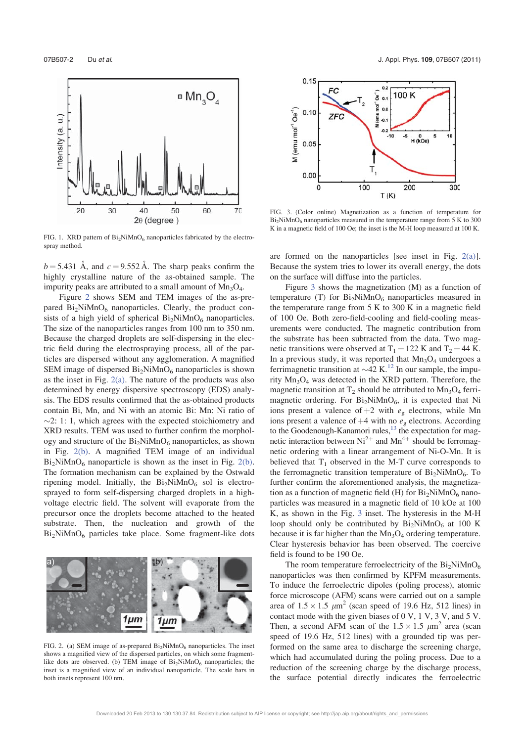

FIG. 1. XRD pattern of  $Bi_2NiMnO_6$  nanoparticles fabricated by the electrospray method.

 $b = 5.431$  Å, and  $c = 9.552$  Å. The sharp peaks confirm the highly crystalline nature of the as-obtained sample. The impurity peaks are attributed to a small amount of  $Mn_3O_4$ .

Figure 2 shows SEM and TEM images of the as-prepared  $Bi<sub>2</sub>NiMnO<sub>6</sub>$  nanoparticles. Clearly, the product consists of a high yield of spherical  $Bi<sub>2</sub>NiMnO<sub>6</sub>$  nanoparticles. The size of the nanoparticles ranges from 100 nm to 350 nm. Because the charged droplets are self-dispersing in the electric field during the electrospraying process, all of the particles are dispersed without any agglomeration. A magnified SEM image of dispersed  $Bi<sub>2</sub>NiMnO<sub>6</sub>$  nanoparticles is shown as the inset in Fig.  $2(a)$ . The nature of the products was also determined by energy dispersive spectroscopy (EDS) analysis. The EDS results confirmed that the as-obtained products contain Bi, Mn, and Ni with an atomic Bi: Mn: Ni ratio of  $\sim$ 2: 1: 1, which agrees with the expected stoichiometry and XRD results. TEM was used to further confirm the morphology and structure of the  $Bi<sub>2</sub>NiMnO<sub>6</sub>$  nanoparticles, as shown in Fig. 2(b). A magnified TEM image of an individual  $Bi<sub>2</sub>NiMnO<sub>6</sub>$  nanoparticle is shown as the inset in Fig. 2(b). The formation mechanism can be explained by the Ostwald ripening model. Initially, the  $Bi<sub>2</sub>NiMnO<sub>6</sub>$  sol is electrosprayed to form self-dispersing charged droplets in a highvoltage electric field. The solvent will evaporate from the precursor once the droplets become attached to the heated substrate. Then, the nucleation and growth of the  $Bi<sub>2</sub>NiMnO<sub>6</sub>$  particles take place. Some fragment-like dots



FIG. 2. (a) SEM image of as-prepared Bi<sub>2</sub>NiMnO<sub>6</sub> nanoparticles. The inset shows a magnified view of the dispersed particles, on which some fragmentlike dots are observed. (b) TEM image of  $Bi_2NiMnO_6$  nanoparticles; the inset is a magnified view of an individual nanoparticle. The scale bars in both insets represent 100 nm.



FIG. 3. (Color online) Magnetization as a function of temperature for  $Bi<sub>2</sub>NiMnO<sub>6</sub>$  nanoparticles measured in the temperature range from 5 K to 300 K in a magnetic field of 100 Oe; the inset is the M-H loop measured at 100 K.

are formed on the nanoparticles [see inset in Fig. 2(a)]. Because the system tries to lower its overall energy, the dots on the surface will diffuse into the particles.

Figure 3 shows the magnetization (M) as a function of temperature (T) for  $Bi_2NiMnO_6$  nanoparticles measured in the temperature range from 5 K to 300 K in a magnetic field of 100 Oe. Both zero-field-cooling and field-cooling measurements were conducted. The magnetic contribution from the substrate has been subtracted from the data. Two magnetic transitions were observed at  $T_1 = 122$  K and  $T_2 = 44$  K. In a previous study, it was reported that  $Mn_3O_4$  undergoes a ferrimagnetic transition at  $\sim$  42 K.<sup>12</sup> In our sample, the impurity Mn3O4 was detected in the XRD pattern. Therefore, the magnetic transition at  $T_2$  should be attributed to  $Mn_3O_4$  ferrimagnetic ordering. For  $Bi<sub>2</sub>NiMnO<sub>6</sub>$ , it is expected that Ni ions present a valence of  $+2$  with  $e<sub>g</sub>$  electrons, while Mn ions present a valence of  $+4$  with no  $e_g$  electrons. According to the Goodenough-Kanamori rules,<sup>13</sup> the expectation for magnetic interaction between  $Ni^{2+}$  and  $Mn^{4+}$  should be ferromagnetic ordering with a linear arrangement of Ni-O-Mn. It is believed that  $T_1$  observed in the M-T curve corresponds to the ferromagnetic transition temperature of  $Bi<sub>2</sub>NiMnO<sub>6</sub>$ . To further confirm the aforementioned analysis, the magnetization as a function of magnetic field (H) for  $Bi<sub>2</sub>NiMnO<sub>6</sub>$  nanoparticles was measured in a magnetic field of 10 kOe at 100 K, as shown in the Fig. 3 inset. The hysteresis in the M-H loop should only be contributed by  $Bi_2NiMnO_6$  at 100 K because it is far higher than the  $Mn_3O_4$  ordering temperature. Clear hysteresis behavior has been observed. The coercive field is found to be 190 Oe.

The room temperature ferroelectricity of the  $Bi<sub>2</sub>NiMnO<sub>6</sub>$ nanoparticles was then confirmed by KPFM measurements. To induce the ferroelectric dipoles (poling process), atomic force microscope (AFM) scans were carried out on a sample area of  $1.5 \times 1.5$   $\mu$ m<sup>2</sup> (scan speed of 19.6 Hz, 512 lines) in contact mode with the given biases of 0 V, 1 V, 3 V, and 5 V. Then, a second AFM scan of the  $1.5 \times 1.5 \mu m^2$  area (scan speed of 19.6 Hz, 512 lines) with a grounded tip was performed on the same area to discharge the screening charge, which had accumulated during the poling process. Due to a reduction of the screening charge by the discharge process, the surface potential directly indicates the ferroelectric